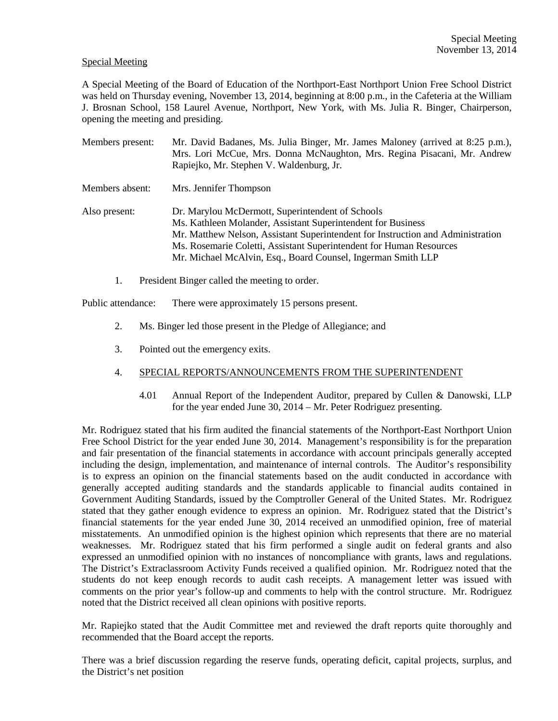## Special Meeting

A Special Meeting of the Board of Education of the Northport-East Northport Union Free School District was held on Thursday evening, November 13, 2014, beginning at 8:00 p.m., in the Cafeteria at the William J. Brosnan School, 158 Laurel Avenue, Northport, New York, with Ms. Julia R. Binger, Chairperson, opening the meeting and presiding.

| Members present: | Mr. David Badanes, Ms. Julia Binger, Mr. James Maloney (arrived at 8:25 p.m.),<br>Mrs. Lori McCue, Mrs. Donna McNaughton, Mrs. Regina Pisacani, Mr. Andrew<br>Rapiejko, Mr. Stephen V. Waldenburg, Jr.                                                                                                                                     |
|------------------|--------------------------------------------------------------------------------------------------------------------------------------------------------------------------------------------------------------------------------------------------------------------------------------------------------------------------------------------|
| Members absent:  | Mrs. Jennifer Thompson                                                                                                                                                                                                                                                                                                                     |
| Also present:    | Dr. Marylou McDermott, Superintendent of Schools<br>Ms. Kathleen Molander, Assistant Superintendent for Business<br>Mr. Matthew Nelson, Assistant Superintendent for Instruction and Administration<br>Ms. Rosemarie Coletti, Assistant Superintendent for Human Resources<br>Mr. Michael McAlvin, Esq., Board Counsel, Ingerman Smith LLP |

1. President Binger called the meeting to order.

Public attendance: There were approximately 15 persons present.

- 2. Ms. Binger led those present in the Pledge of Allegiance; and
- 3. Pointed out the emergency exits.

## 4. SPECIAL REPORTS/ANNOUNCEMENTS FROM THE SUPERINTENDENT

4.01 Annual Report of the Independent Auditor, prepared by Cullen & Danowski, LLP for the year ended June 30, 2014 – Mr. Peter Rodriguez presenting.

Mr. Rodriguez stated that his firm audited the financial statements of the Northport-East Northport Union Free School District for the year ended June 30, 2014. Management's responsibility is for the preparation and fair presentation of the financial statements in accordance with account principals generally accepted including the design, implementation, and maintenance of internal controls. The Auditor's responsibility is to express an opinion on the financial statements based on the audit conducted in accordance with generally accepted auditing standards and the standards applicable to financial audits contained in Government Auditing Standards, issued by the Comptroller General of the United States. Mr. Rodriguez stated that they gather enough evidence to express an opinion. Mr. Rodriguez stated that the District's financial statements for the year ended June 30, 2014 received an unmodified opinion, free of material misstatements. An unmodified opinion is the highest opinion which represents that there are no material weaknesses. Mr. Rodriguez stated that his firm performed a single audit on federal grants and also expressed an unmodified opinion with no instances of noncompliance with grants, laws and regulations. The District's Extraclassroom Activity Funds received a qualified opinion. Mr. Rodriguez noted that the students do not keep enough records to audit cash receipts. A management letter was issued with comments on the prior year's follow-up and comments to help with the control structure. Mr. Rodriguez noted that the District received all clean opinions with positive reports.

Mr. Rapiejko stated that the Audit Committee met and reviewed the draft reports quite thoroughly and recommended that the Board accept the reports.

There was a brief discussion regarding the reserve funds, operating deficit, capital projects, surplus, and the District's net position